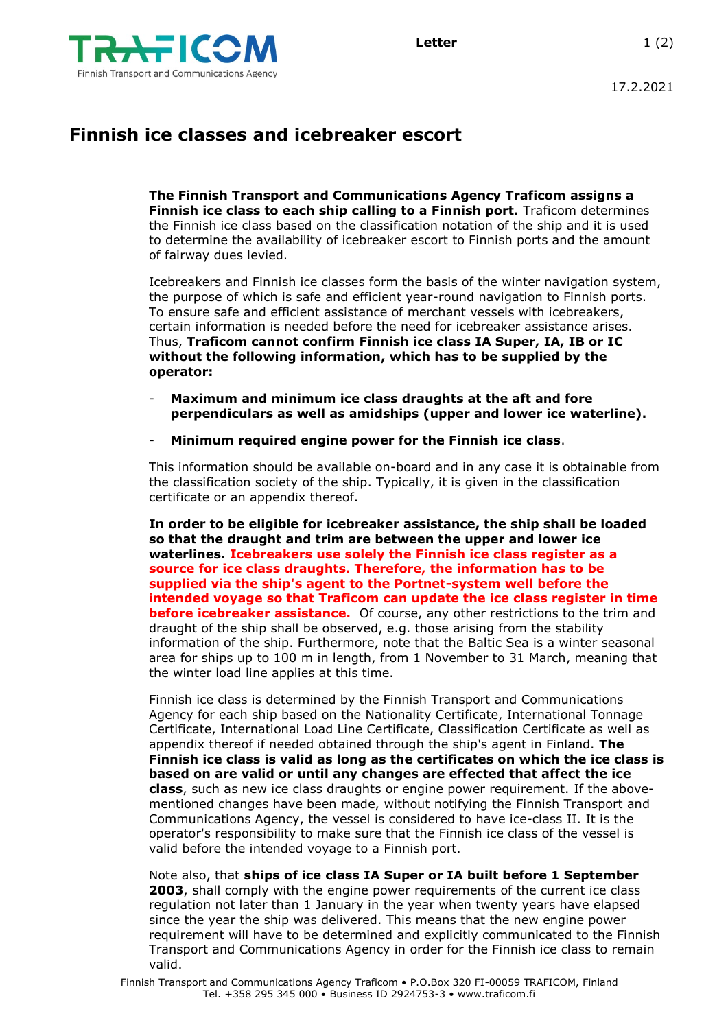

## **Finnish ice classes and icebreaker escort**

**The Finnish Transport and Communications Agency Traficom assigns a Finnish ice class to each ship calling to a Finnish port.** Traficom determines the Finnish ice class based on the classification notation of the ship and it is used to determine the availability of icebreaker escort to Finnish ports and the amount of fairway dues levied.

Icebreakers and Finnish ice classes form the basis of the winter navigation system, the purpose of which is safe and efficient year-round navigation to Finnish ports. To ensure safe and efficient assistance of merchant vessels with icebreakers, certain information is needed before the need for icebreaker assistance arises. Thus, **Traficom cannot confirm Finnish ice class IA Super, IA, IB or IC without the following information, which has to be supplied by the operator:**

- **Maximum and minimum ice class draughts at the aft and fore perpendiculars as well as amidships (upper and lower ice waterline).**
- **Minimum required engine power for the Finnish ice class**.

This information should be available on-board and in any case it is obtainable from the classification society of the ship. Typically, it is given in the classification certificate or an appendix thereof.

**In order to be eligible for icebreaker assistance, the ship shall be loaded so that the draught and trim are between the upper and lower ice waterlines. Icebreakers use solely the Finnish ice class register as a source for ice class draughts. Therefore, the information has to be supplied via the ship's agent to the Portnet-system well before the intended voyage so that Traficom can update the ice class register in time before icebreaker assistance.** Of course, any other restrictions to the trim and draught of the ship shall be observed, e.g. those arising from the stability information of the ship. Furthermore, note that the Baltic Sea is a winter seasonal area for ships up to 100 m in length, from 1 November to 31 March, meaning that the winter load line applies at this time.

Finnish ice class is determined by the Finnish Transport and Communications Agency for each ship based on the Nationality Certificate, International Tonnage Certificate, International Load Line Certificate, Classification Certificate as well as appendix thereof if needed obtained through the ship's agent in Finland. **The Finnish ice class is valid as long as the certificates on which the ice class is based on are valid or until any changes are effected that affect the ice class**, such as new ice class draughts or engine power requirement. If the abovementioned changes have been made, without notifying the Finnish Transport and Communications Agency, the vessel is considered to have ice-class II. It is the operator's responsibility to make sure that the Finnish ice class of the vessel is valid before the intended voyage to a Finnish port.

Note also, that **ships of ice class IA Super or IA built before 1 September 2003**, shall comply with the engine power requirements of the current ice class regulation not later than 1 January in the year when twenty years have elapsed since the year the ship was delivered. This means that the new engine power requirement will have to be determined and explicitly communicated to the Finnish Transport and Communications Agency in order for the Finnish ice class to remain valid.